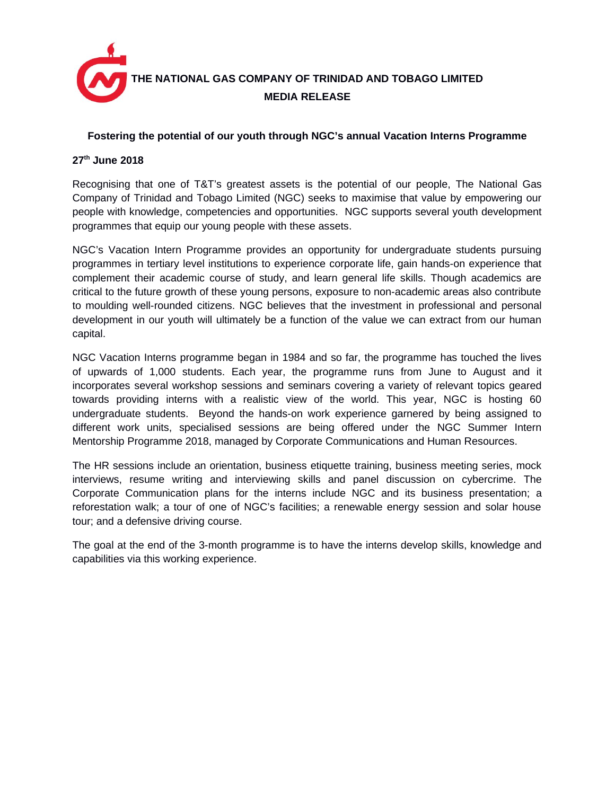

## **Fostering the potential of our youth through NGC's annual Vacation Interns Programme**

## **27th June 2018**

Recognising that one of T&T's greatest assets is the potential of our people, The National Gas Company of Trinidad and Tobago Limited (NGC) seeks to maximise that value by empowering our people with knowledge, competencies and opportunities. NGC supports several youth development programmes that equip our young people with these assets.

NGC's Vacation Intern Programme provides an opportunity for undergraduate students pursuing programmes in tertiary level institutions to experience corporate life, gain hands-on experience that complement their academic course of study, and learn general life skills. Though academics are critical to the future growth of these young persons, exposure to non-academic areas also contribute to moulding well-rounded citizens. NGC believes that the investment in professional and personal development in our youth will ultimately be a function of the value we can extract from our human capital.

NGC Vacation Interns programme began in 1984 and so far, the programme has touched the lives of upwards of 1,000 students. Each year, the programme runs from June to August and it incorporates several workshop sessions and seminars covering a variety of relevant topics geared towards providing interns with a realistic view of the world. This year, NGC is hosting 60 undergraduate students. Beyond the hands-on work experience garnered by being assigned to different work units, specialised sessions are being offered under the NGC Summer Intern Mentorship Programme 2018, managed by Corporate Communications and Human Resources.

The HR sessions include an orientation, business etiquette training, business meeting series, mock interviews, resume writing and interviewing skills and panel discussion on cybercrime. The Corporate Communication plans for the interns include NGC and its business presentation; a reforestation walk; a tour of one of NGC's facilities; a renewable energy session and solar house tour; and a defensive driving course.

The goal at the end of the 3-month programme is to have the interns develop skills, knowledge and capabilities via this working experience.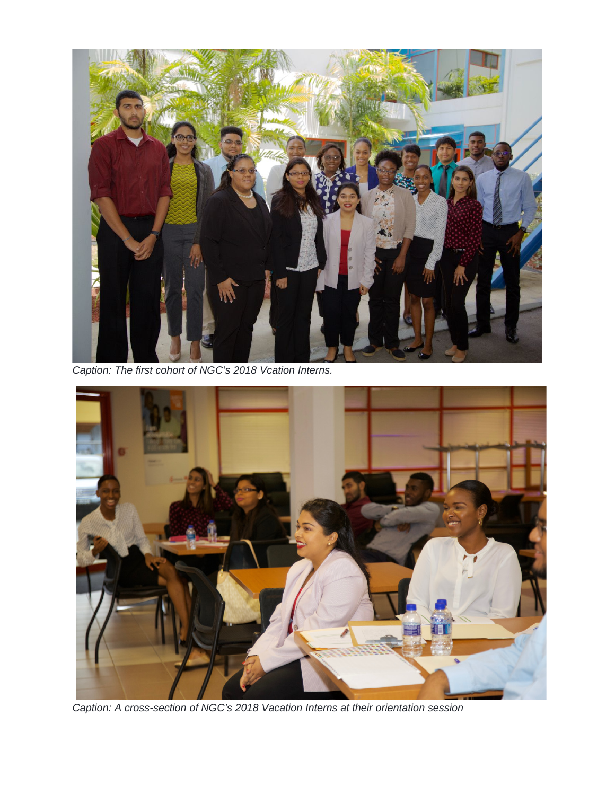

*Caption: The first cohort of NGC's 2018 Vcation Interns.*



*Caption: A cross-section of NGC's 2018 Vacation Interns at their orientation session*